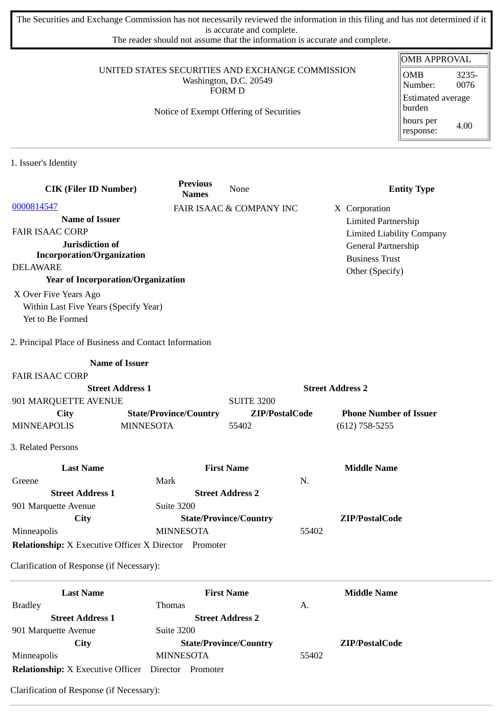The Securities and Exchange Commission has not necessarily reviewed the information in this filing and has not determined if it is accurate and complete.

The reader should not assume that the information is accurate and complete.

### UNITED STATES SECURITIES AND EXCHANGE COMMISSION Washington, D.C. 20549 FORM D

### Notice of Exempt Offering of Securities

| OMB APPROVAL                       |               |  |  |  |
|------------------------------------|---------------|--|--|--|
| OMB<br>Number:                     | 3235-<br>0076 |  |  |  |
| <b>Estimated average</b><br>burden |               |  |  |  |
| hours per<br>response:             | 4.00          |  |  |  |

1. Issuer's Identity

|                    | <b>CIK (Filer ID Number)</b>                                 |                               | <b>Previous</b><br><b>Names</b> | None                          |       | <b>Entity Type</b>                           |
|--------------------|--------------------------------------------------------------|-------------------------------|---------------------------------|-------------------------------|-------|----------------------------------------------|
| 0000814547         |                                                              |                               |                                 | FAIR ISAAC & COMPANY INC      |       | X Corporation                                |
|                    | <b>Name of Issuer</b>                                        |                               |                                 |                               |       | <b>Limited Partnership</b>                   |
|                    | <b>FAIR ISAAC CORP</b>                                       |                               |                                 |                               |       | <b>Limited Liability Company</b>             |
|                    | Jurisdiction of<br><b>Incorporation/Organization</b>         |                               |                                 |                               |       | General Partnership<br><b>Business Trust</b> |
| <b>DELAWARE</b>    |                                                              |                               |                                 |                               |       | Other (Specify)                              |
|                    | <b>Year of Incorporation/Organization</b>                    |                               |                                 |                               |       |                                              |
|                    | X Over Five Years Ago                                        |                               |                                 |                               |       |                                              |
|                    | Within Last Five Years (Specify Year)                        |                               |                                 |                               |       |                                              |
|                    | Yet to Be Formed                                             |                               |                                 |                               |       |                                              |
|                    | 2. Principal Place of Business and Contact Information       |                               |                                 |                               |       |                                              |
|                    |                                                              | <b>Name of Issuer</b>         |                                 |                               |       |                                              |
|                    | <b>FAIR ISAAC CORP</b>                                       |                               |                                 |                               |       |                                              |
|                    |                                                              | <b>Street Address 1</b>       |                                 |                               |       | <b>Street Address 2</b>                      |
|                    | 901 MARQUETTE AVENUE                                         |                               |                                 | <b>SUITE 3200</b>             |       |                                              |
|                    | <b>City</b>                                                  | <b>State/Province/Country</b> |                                 | ZIP/PostalCode                |       | <b>Phone Number of Issuer</b>                |
| <b>MINNEAPOLIS</b> |                                                              | <b>MINNESOTA</b>              |                                 | 55402                         |       | $(612)$ 758-5255                             |
| 3. Related Persons |                                                              |                               |                                 |                               |       |                                              |
|                    | <b>Last Name</b>                                             |                               |                                 | <b>First Name</b>             |       | <b>Middle Name</b>                           |
| Greene             |                                                              | Mark                          |                                 |                               | N.    |                                              |
|                    | <b>Street Address 1</b>                                      |                               |                                 | <b>Street Address 2</b>       |       |                                              |
|                    | 901 Marquette Avenue                                         | Suite 3200                    |                                 |                               |       |                                              |
|                    | <b>City</b>                                                  |                               |                                 | <b>State/Province/Country</b> |       | ZIP/PostalCode                               |
| Minneapolis        |                                                              | <b>MINNESOTA</b>              |                                 |                               | 55402 |                                              |
|                    | <b>Relationship:</b> X Executive Officer X Director Promoter |                               |                                 |                               |       |                                              |
|                    | Clarification of Response (if Necessary):                    |                               |                                 |                               |       |                                              |
|                    | <b>Last Name</b>                                             |                               |                                 | <b>First Name</b>             |       | <b>Middle Name</b>                           |
| <b>Bradley</b>     |                                                              | Thomas                        |                                 |                               | А.    |                                              |
|                    | <b>Street Address 1</b>                                      |                               |                                 | <b>Street Address 2</b>       |       |                                              |

901 Marquette Avenue Suite 3200 **City State/Province/Country ZIP/PostalCode** MINNESOTA 55402 **Relationship:** X Executive Officer Director Promoter

Clarification of Response (if Necessary):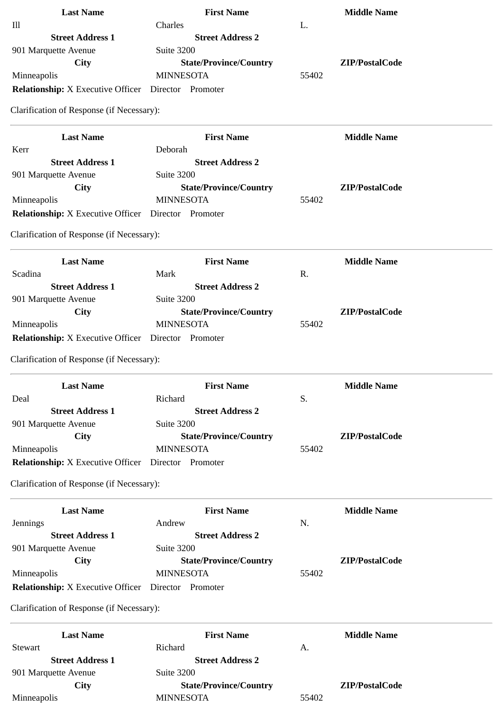| <b>Last Name</b>                                  | <b>First Name</b>             |       | <b>Middle Name</b> |
|---------------------------------------------------|-------------------------------|-------|--------------------|
| III                                               | Charles                       | L.    |                    |
| <b>Street Address 1</b>                           | <b>Street Address 2</b>       |       |                    |
| 901 Marquette Avenue                              | Suite 3200                    |       |                    |
| City                                              | <b>State/Province/Country</b> |       | ZIP/PostalCode     |
| Minneapolis                                       | <b>MINNESOTA</b>              | 55402 |                    |
| <b>Relationship:</b> X Executive Officer Director | Promoter                      |       |                    |
|                                                   |                               |       |                    |

Clarification of Response (if Necessary):

| <b>Last Name</b>                                  | <b>First Name</b>             | <b>Middle Name</b> |
|---------------------------------------------------|-------------------------------|--------------------|
| Kerr                                              | Deborah                       |                    |
| <b>Street Address 1</b>                           | <b>Street Address 2</b>       |                    |
| 901 Marquette Avenue                              | Suite 3200                    |                    |
| City                                              | <b>State/Province/Country</b> | ZIP/PostalCode     |
| Minneapolis                                       | <b>MINNESOTA</b>              | 55402              |
| <b>Relationship:</b> X Executive Officer Director | Promoter                      |                    |

Clarification of Response (if Necessary):

| <b>Last Name</b>                                  | <b>First Name</b>             |       | <b>Middle Name</b> |
|---------------------------------------------------|-------------------------------|-------|--------------------|
| Scadina                                           | Mark                          | R.    |                    |
| <b>Street Address 1</b>                           | <b>Street Address 2</b>       |       |                    |
| 901 Marquette Avenue                              | Suite 3200                    |       |                    |
| City                                              | <b>State/Province/Country</b> |       | ZIP/PostalCode     |
| Minneapolis                                       | <b>MINNESOTA</b>              | 55402 |                    |
| <b>Relationship:</b> X Executive Officer Director | Promoter                      |       |                    |

Clarification of Response (if Necessary):

| <b>Last Name</b>                                  | <b>First Name</b>             |       | <b>Middle Name</b> |
|---------------------------------------------------|-------------------------------|-------|--------------------|
| Deal                                              | Richard                       | S.    |                    |
| <b>Street Address 1</b>                           | <b>Street Address 2</b>       |       |                    |
| 901 Marquette Avenue                              | Suite 3200                    |       |                    |
| City                                              | <b>State/Province/Country</b> |       | ZIP/PostalCode     |
| Minneapolis                                       | <b>MINNESOTA</b>              | 55402 |                    |
| <b>Relationship:</b> X Executive Officer Director | Promoter                      |       |                    |

Clarification of Response (if Necessary):

| <b>Last Name</b>                         | <b>First Name</b>             |       | <b>Middle Name</b> |
|------------------------------------------|-------------------------------|-------|--------------------|
| Jennings                                 | Andrew                        | N.    |                    |
| <b>Street Address 1</b>                  | <b>Street Address 2</b>       |       |                    |
| 901 Marquette Avenue                     | Suite 3200                    |       |                    |
| City                                     | <b>State/Province/Country</b> |       | ZIP/PostalCode     |
| Minneapolis                              | <b>MINNESOTA</b>              | 55402 |                    |
| <b>Relationship:</b> X Executive Officer | Director<br>Promoter          |       |                    |

Clarification of Response (if Necessary):

| <b>Last Name</b>        | <b>First Name</b>             |       | Middle Name    |
|-------------------------|-------------------------------|-------|----------------|
| Stewart                 | Richard                       | А.    |                |
| <b>Street Address 1</b> | <b>Street Address 2</b>       |       |                |
| 901 Marquette Avenue    | Suite 3200                    |       |                |
| City                    | <b>State/Province/Country</b> |       | ZIP/PostalCode |
| Minneapolis             | <b>MINNESOTA</b>              | 55402 |                |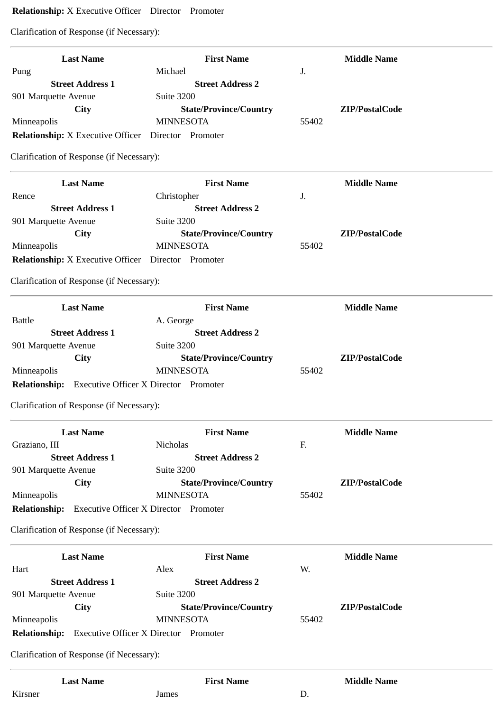# **Relationship:** X Executive Officer Director Promoter

Clarification of Response (if Necessary):

| <b>Last Name</b>                                             | <b>First Name</b>                                 |       | <b>Middle Name</b> |
|--------------------------------------------------------------|---------------------------------------------------|-------|--------------------|
| Pung                                                         | Michael                                           | J.    |                    |
| <b>Street Address 1</b>                                      | <b>Street Address 2</b>                           |       |                    |
| 901 Marquette Avenue                                         | <b>Suite 3200</b>                                 |       |                    |
| <b>City</b>                                                  | <b>State/Province/Country</b><br><b>MINNESOTA</b> | 55402 | ZIP/PostalCode     |
| Minneapolis                                                  |                                                   |       |                    |
| <b>Relationship:</b> X Executive Officer Director Promoter   |                                                   |       |                    |
| Clarification of Response (if Necessary):                    |                                                   |       |                    |
| <b>Last Name</b>                                             | <b>First Name</b>                                 |       | <b>Middle Name</b> |
| Rence                                                        | Christopher                                       | J.    |                    |
| <b>Street Address 1</b>                                      | <b>Street Address 2</b>                           |       |                    |
| 901 Marquette Avenue                                         | Suite 3200                                        |       |                    |
| <b>City</b>                                                  | <b>State/Province/Country</b>                     |       | ZIP/PostalCode     |
| Minneapolis                                                  | <b>MINNESOTA</b>                                  | 55402 |                    |
| <b>Relationship:</b> X Executive Officer  Director  Promoter |                                                   |       |                    |
| Clarification of Response (if Necessary):                    |                                                   |       |                    |
| <b>Last Name</b>                                             | <b>First Name</b>                                 |       | <b>Middle Name</b> |
| <b>Battle</b>                                                | A. George                                         |       |                    |
| <b>Street Address 1</b>                                      | <b>Street Address 2</b>                           |       |                    |
| 901 Marquette Avenue                                         | Suite 3200                                        |       |                    |
| City                                                         | <b>State/Province/Country</b>                     |       | ZIP/PostalCode     |
| Minneapolis                                                  | <b>MINNESOTA</b>                                  | 55402 |                    |
| <b>Relationship:</b>                                         | <b>Executive Officer X Director Promoter</b>      |       |                    |
| Clarification of Response (if Necessary):                    |                                                   |       |                    |
| <b>Last Name</b>                                             | <b>First Name</b>                                 |       | <b>Middle Name</b> |
| Graziano, III                                                | Nicholas                                          | F.    |                    |
| <b>Street Address 1</b>                                      | <b>Street Address 2</b>                           |       |                    |
| 901 Marquette Avenue                                         | Suite 3200                                        |       |                    |
| <b>City</b>                                                  | <b>State/Province/Country</b>                     |       | ZIP/PostalCode     |
| Minneapolis                                                  | <b>MINNESOTA</b>                                  | 55402 |                    |
| <b>Relationship:</b>                                         | <b>Executive Officer X Director Promoter</b>      |       |                    |
| Clarification of Response (if Necessary):                    |                                                   |       |                    |
| <b>Last Name</b>                                             | <b>First Name</b>                                 |       | <b>Middle Name</b> |
| Hart                                                         | Alex                                              | W.    |                    |
| <b>Street Address 1</b>                                      | <b>Street Address 2</b>                           |       |                    |
| 901 Marquette Avenue                                         | Suite 3200                                        |       |                    |
| City                                                         | <b>State/Province/Country</b>                     |       | ZIP/PostalCode     |
| Minneapolis                                                  | <b>MINNESOTA</b>                                  | 55402 |                    |
| <b>Relationship:</b>                                         | <b>Executive Officer X Director Promoter</b>      |       |                    |
|                                                              |                                                   |       |                    |
| Clarification of Response (if Necessary):                    |                                                   |       |                    |
| <b>Last Name</b>                                             | <b>First Name</b>                                 |       | <b>Middle Name</b> |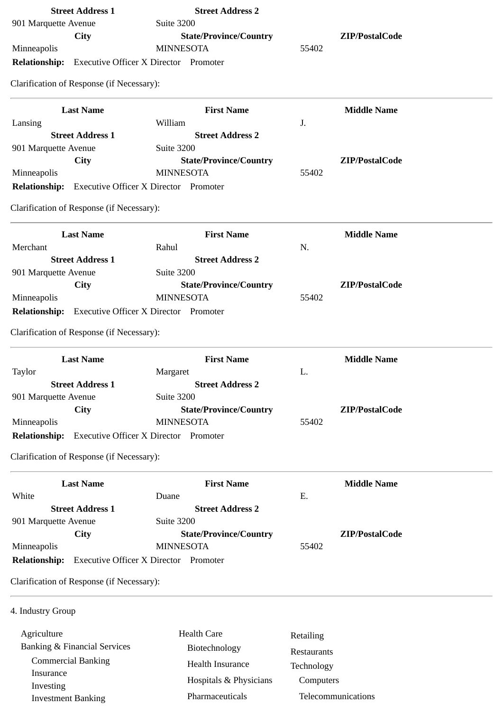|                        | <b>Street Address 1</b>                   | <b>Street Address 2</b>                                    |             |                    |
|------------------------|-------------------------------------------|------------------------------------------------------------|-------------|--------------------|
| 901 Marquette Avenue   |                                           | Suite 3200                                                 |             |                    |
|                        | <b>City</b>                               | <b>State/Province/Country</b>                              |             | ZIP/PostalCode     |
| Minneapolis            |                                           | <b>MINNESOTA</b>                                           | 55402       |                    |
| <b>Relationship:</b>   |                                           | <b>Executive Officer X Director Promoter</b>               |             |                    |
|                        | Clarification of Response (if Necessary): |                                                            |             |                    |
|                        | <b>Last Name</b>                          | <b>First Name</b>                                          |             | <b>Middle Name</b> |
| Lansing                |                                           | William                                                    | J.          |                    |
|                        | <b>Street Address 1</b>                   | <b>Street Address 2</b>                                    |             |                    |
| 901 Marquette Avenue   |                                           | Suite 3200                                                 |             |                    |
|                        | City                                      | <b>State/Province/Country</b>                              |             | ZIP/PostalCode     |
| Minneapolis            |                                           | <b>MINNESOTA</b>                                           | 55402       |                    |
|                        |                                           | <b>Relationship:</b> Executive Officer X Director Promoter |             |                    |
|                        | Clarification of Response (if Necessary): |                                                            |             |                    |
|                        | <b>Last Name</b>                          | <b>First Name</b>                                          |             | <b>Middle Name</b> |
| Merchant               |                                           | Rahul                                                      | N.          |                    |
|                        | <b>Street Address 1</b>                   | <b>Street Address 2</b>                                    |             |                    |
| 901 Marquette Avenue   |                                           | Suite 3200                                                 |             |                    |
|                        | <b>City</b>                               | <b>State/Province/Country</b>                              |             | ZIP/PostalCode     |
| Minneapolis            |                                           | <b>MINNESOTA</b>                                           | 55402       |                    |
|                        |                                           | <b>Relationship:</b> Executive Officer X Director Promoter |             |                    |
|                        | Clarification of Response (if Necessary): |                                                            |             |                    |
|                        | <b>Last Name</b>                          | <b>First Name</b>                                          |             | <b>Middle Name</b> |
| Taylor                 |                                           | Margaret                                                   | L.          |                    |
|                        | <b>Street Address 1</b>                   | <b>Street Address 2</b><br>Suite 3200                      |             |                    |
| 901 Marquette Avenue   | <b>City</b>                               | <b>State/Province/Country</b>                              |             | ZIP/PostalCode     |
| Minneapolis            |                                           | <b>MINNESOTA</b>                                           | 55402       |                    |
| <b>Relationship:</b>   |                                           | <b>Executive Officer X Director Promoter</b>               |             |                    |
|                        | Clarification of Response (if Necessary): |                                                            |             |                    |
|                        | <b>Last Name</b>                          | <b>First Name</b>                                          |             | <b>Middle Name</b> |
| White                  |                                           | Duane                                                      | Ε.          |                    |
|                        | <b>Street Address 1</b>                   | <b>Street Address 2</b>                                    |             |                    |
| 901 Marquette Avenue   |                                           | <b>Suite 3200</b>                                          |             |                    |
|                        | <b>City</b>                               | <b>State/Province/Country</b>                              |             | ZIP/PostalCode     |
| Minneapolis            |                                           | <b>MINNESOTA</b>                                           | 55402       |                    |
| <b>Relationship:</b>   |                                           | <b>Executive Officer X Director Promoter</b>               |             |                    |
|                        | Clarification of Response (if Necessary): |                                                            |             |                    |
| 4. Industry Group      |                                           |                                                            |             |                    |
|                        |                                           |                                                            |             |                    |
|                        |                                           |                                                            |             |                    |
| Agriculture            |                                           | <b>Health Care</b>                                         | Retailing   |                    |
|                        | <b>Banking &amp; Financial Services</b>   | Biotechnology                                              | Restaurants |                    |
|                        | <b>Commercial Banking</b>                 | Health Insurance                                           | Technology  |                    |
| Insurance<br>Investing |                                           | Hospitals & Physicians                                     | Computers   |                    |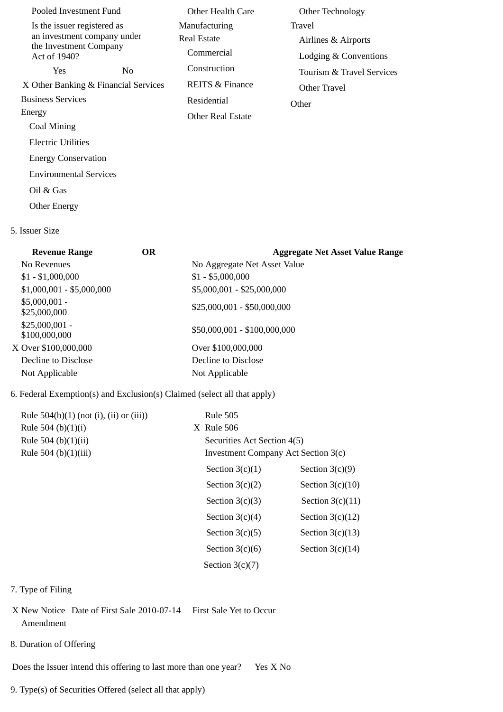| Pooled Investment Fund                                                                               |     | Other Health Care                          | Other Technology                                       |
|------------------------------------------------------------------------------------------------------|-----|--------------------------------------------|--------------------------------------------------------|
| Is the issuer registered as<br>an investment company under<br>the Investment Company<br>Act of 1940? |     | Manufacturing<br>Real Estate<br>Commercial | Travel<br>Airlines & Airports<br>Lodging & Conventions |
| Yes.                                                                                                 | No. | Construction                               | Tourism & Travel Services                              |
| X Other Banking & Financial Services                                                                 |     | <b>REITS &amp; Finance</b>                 | Other Travel                                           |
| <b>Business Services</b>                                                                             |     | Residential                                | Other                                                  |
| Energy                                                                                               |     | <b>Other Real Estate</b>                   |                                                        |
| Coal Mining                                                                                          |     |                                            |                                                        |
| Electric Utilities                                                                                   |     |                                            |                                                        |
| <b>Energy Conservation</b>                                                                           |     |                                            |                                                        |
| <b>Environmental Services</b>                                                                        |     |                                            |                                                        |
| Oil & Gas                                                                                            |     |                                            |                                                        |
|                                                                                                      |     |                                            |                                                        |

Other Energy

### 5. Issuer Size

| <b>Revenue Range</b>             | OR. | <b>Aggregate Net Asset Value Range</b> |
|----------------------------------|-----|----------------------------------------|
| No Revenues                      |     | No Aggregate Net Asset Value           |
| $$1 - $1,000,000$                |     | $$1 - $5,000,000$                      |
| $$1,000,001 - $5,000,000$        |     | \$5,000,001 - \$25,000,000             |
| $$5,000,001 -$<br>\$25,000,000   |     | $$25,000,001 - $50,000,000$            |
| $$25,000,001 -$<br>\$100,000,000 |     | \$50,000,001 - \$100,000,000           |
| X Over \$100,000,000             |     | Over \$100,000,000                     |
| Decline to Disclose              |     | Decline to Disclose                    |
| Not Applicable                   |     | Not Applicable                         |
|                                  |     |                                        |

## 6. Federal Exemption(s) and Exclusion(s) Claimed (select all that apply)

| Rule $504(b)(1)$ (not (i), (ii) or (iii))<br>Rule 504 (b) $(1)(i)$<br>Rule 504 (b) $(1)(ii)$<br>Rule 504 (b)(1)(iii) | <b>Rule 505</b><br>$X$ Rule 506 | Securities Act Section 4(5)<br>Investment Company Act Section 3(c) |  |
|----------------------------------------------------------------------------------------------------------------------|---------------------------------|--------------------------------------------------------------------|--|
|                                                                                                                      | Section $3(c)(1)$               | Section $3(c)(9)$                                                  |  |
|                                                                                                                      | Section $3(c)(2)$               | Section $3(c)(10)$                                                 |  |
|                                                                                                                      | Section $3(c)(3)$               | Section $3(c)(11)$                                                 |  |
|                                                                                                                      | Section $3(c)(4)$               | Section $3(c)(12)$                                                 |  |
|                                                                                                                      | Section $3(c)(5)$               | Section $3(c)(13)$                                                 |  |
|                                                                                                                      | Section $3(c)(6)$               | Section $3(c)(14)$                                                 |  |
|                                                                                                                      | Section $3(c)(7)$               |                                                                    |  |

## 7. Type of Filing

- X New Notice Date of First Sale 2010-07-14 First Sale Yet to Occur Amendment
- 8. Duration of Offering

Does the Issuer intend this offering to last more than one year? Yes X No

9. Type(s) of Securities Offered (select all that apply)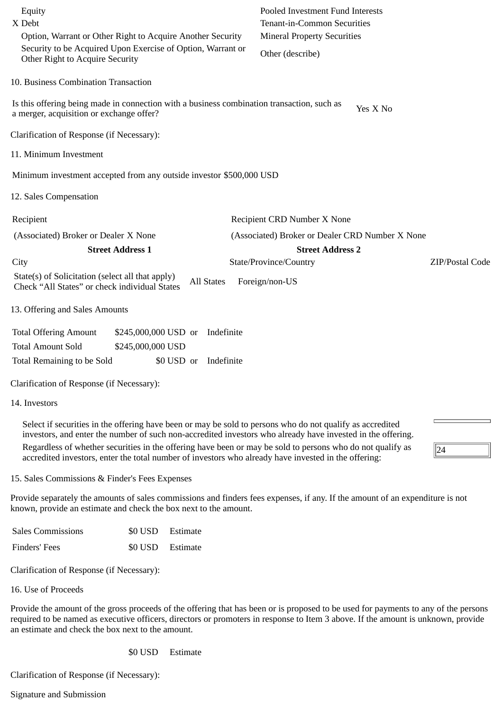| Equity<br>X Debt<br>Option, Warrant or Other Right to Acquire Another Security                                                                                                                                                                                                                                                                                                                                                                 | Pooled Investment Fund Interests<br><b>Tenant-in-Common Securities</b><br><b>Mineral Property Securities</b> |
|------------------------------------------------------------------------------------------------------------------------------------------------------------------------------------------------------------------------------------------------------------------------------------------------------------------------------------------------------------------------------------------------------------------------------------------------|--------------------------------------------------------------------------------------------------------------|
| Security to be Acquired Upon Exercise of Option, Warrant or<br>Other Right to Acquire Security                                                                                                                                                                                                                                                                                                                                                 | Other (describe)                                                                                             |
| 10. Business Combination Transaction                                                                                                                                                                                                                                                                                                                                                                                                           |                                                                                                              |
| Is this offering being made in connection with a business combination transaction, such as<br>a merger, acquisition or exchange offer?                                                                                                                                                                                                                                                                                                         | Yes X No                                                                                                     |
| Clarification of Response (if Necessary):                                                                                                                                                                                                                                                                                                                                                                                                      |                                                                                                              |
| 11. Minimum Investment                                                                                                                                                                                                                                                                                                                                                                                                                         |                                                                                                              |
| Minimum investment accepted from any outside investor \$500,000 USD                                                                                                                                                                                                                                                                                                                                                                            |                                                                                                              |
| 12. Sales Compensation                                                                                                                                                                                                                                                                                                                                                                                                                         |                                                                                                              |
| Recipient                                                                                                                                                                                                                                                                                                                                                                                                                                      | Recipient CRD Number X None                                                                                  |
| (Associated) Broker or Dealer X None                                                                                                                                                                                                                                                                                                                                                                                                           | (Associated) Broker or Dealer CRD Number X None                                                              |
| <b>Street Address 1</b>                                                                                                                                                                                                                                                                                                                                                                                                                        | <b>Street Address 2</b>                                                                                      |
| City                                                                                                                                                                                                                                                                                                                                                                                                                                           | State/Province/Country<br>ZIP/Postal Code                                                                    |
| State(s) of Solicitation (select all that apply)<br><b>All States</b><br>Check "All States" or check individual States                                                                                                                                                                                                                                                                                                                         | Foreign/non-US                                                                                               |
| 13. Offering and Sales Amounts                                                                                                                                                                                                                                                                                                                                                                                                                 |                                                                                                              |
| <b>Total Offering Amount</b><br>\$245,000,000 USD or<br>Indefinite                                                                                                                                                                                                                                                                                                                                                                             |                                                                                                              |
| <b>Total Amount Sold</b><br>\$245,000,000 USD                                                                                                                                                                                                                                                                                                                                                                                                  |                                                                                                              |
| Indefinite<br>Total Remaining to be Sold<br>\$0 USD or                                                                                                                                                                                                                                                                                                                                                                                         |                                                                                                              |
| Clarification of Response (if Necessary):                                                                                                                                                                                                                                                                                                                                                                                                      |                                                                                                              |
| 14. Investors                                                                                                                                                                                                                                                                                                                                                                                                                                  |                                                                                                              |
| Select if securities in the offering have been or may be sold to persons who do not qualify as accredited<br>investors, and enter the number of such non-accredited investors who already have invested in the offering.<br>Regardless of whether securities in the offering have been or may be sold to persons who do not qualify as<br>accredited investors, enter the total number of investors who already have invested in the offering: | 24                                                                                                           |

15. Sales Commissions & Finder's Fees Expenses

Provide separately the amounts of sales commissions and finders fees expenses, if any. If the amount of an expenditure is not known, provide an estimate and check the box next to the amount.

| <b>Sales Commissions</b> |                  | \$0 USD Estimate |
|--------------------------|------------------|------------------|
| Finders' Fees            | \$0 USD Estimate |                  |

Clarification of Response (if Necessary):

16. Use of Proceeds

Provide the amount of the gross proceeds of the offering that has been or is proposed to be used for payments to any of the persons required to be named as executive officers, directors or promoters in response to Item 3 above. If the amount is unknown, provide an estimate and check the box next to the amount.

\$0 USD Estimate

Clarification of Response (if Necessary):

Signature and Submission